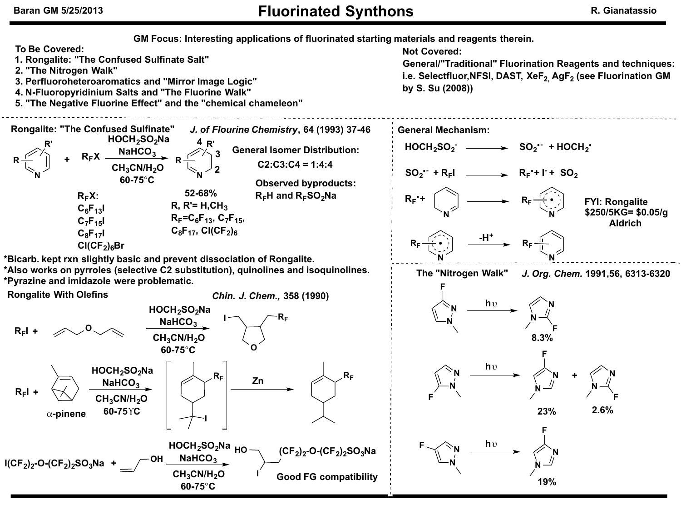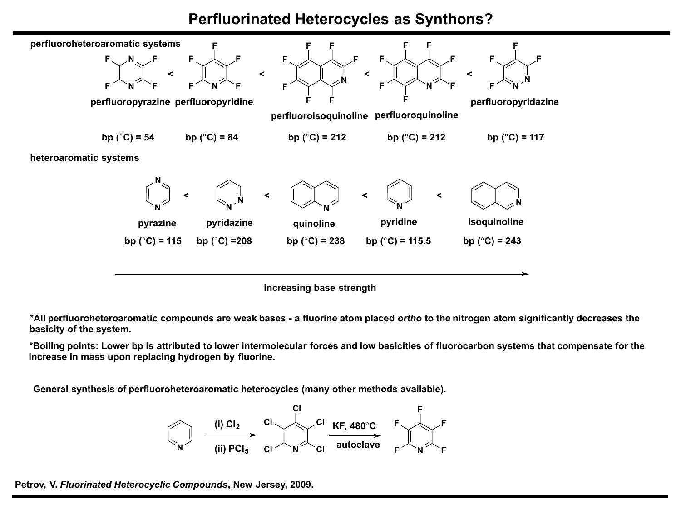## **Perfluorinated Heterocycles as Synthons?**



**\*All perfluoroheteroaromatic compounds are weak bases - a fluorine atom placed** *ortho* **to the nitrogen atom significantly decreases the basicity of the system.**

**\*Boiling points: Lower bp is attributed to lower intermolecular forces and low basicities of fluorocarbon systems that compensate for the increase in mass upon replacing hydrogen by fluorine.**

**General synthesis of perfluoroheteroaromatic heterocycles (many other methods available).**



**Petrov, V.** *Fluorinated Heterocyclic Compounds***, New Jersey, 2009.**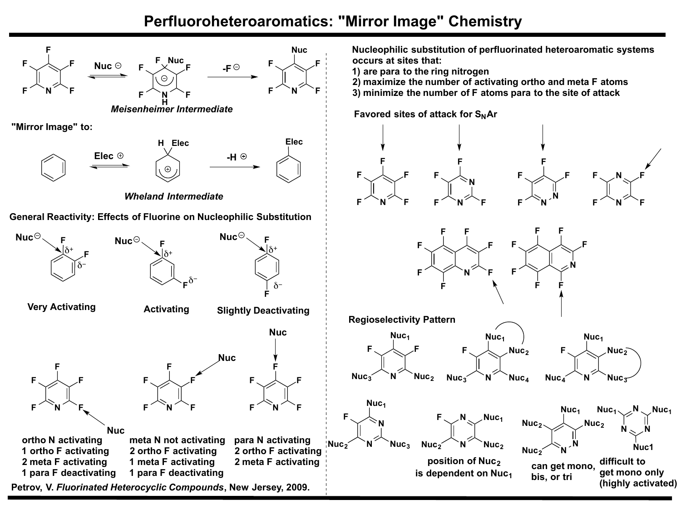## **Perfluoroheteroaromatics: "Mirror Image" Chemistry**

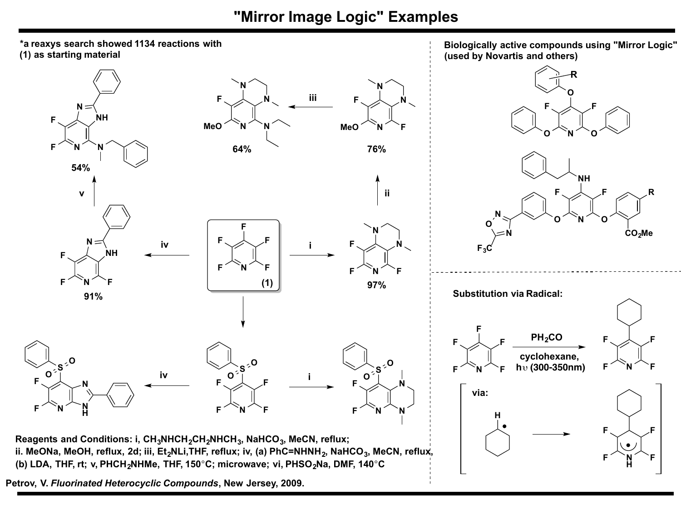**"Mirror Image Logic" Examples**



**Petrov, V.** *Fluorinated Heterocyclic Compounds***, New Jersey, 2009.**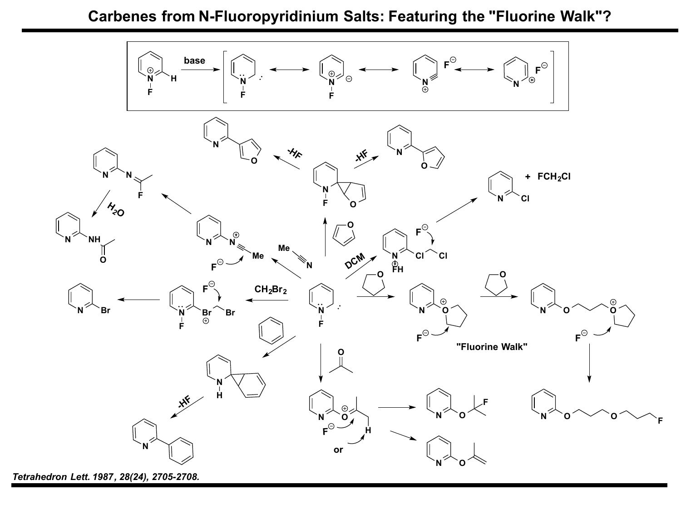**Carbenes from N-Fluoropyridinium Salts: Featuring the "Fluorine Walk"?**



*Tetrahedron Lett. 1987, 28(24), 2705-2708.*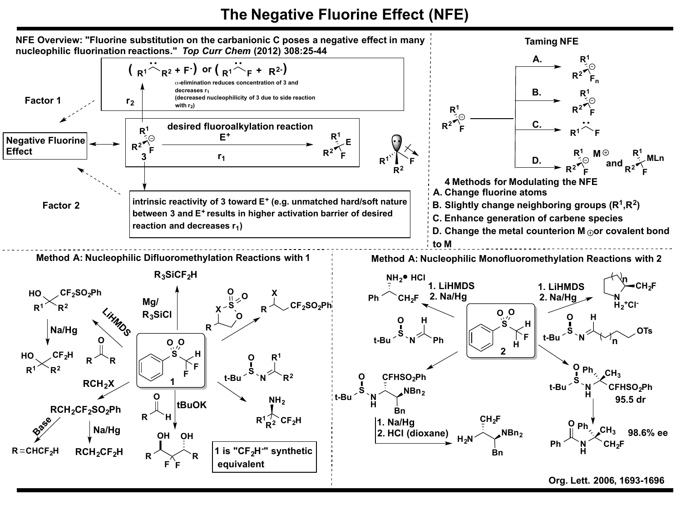## **The Negative Fluorine Effect (NFE)**

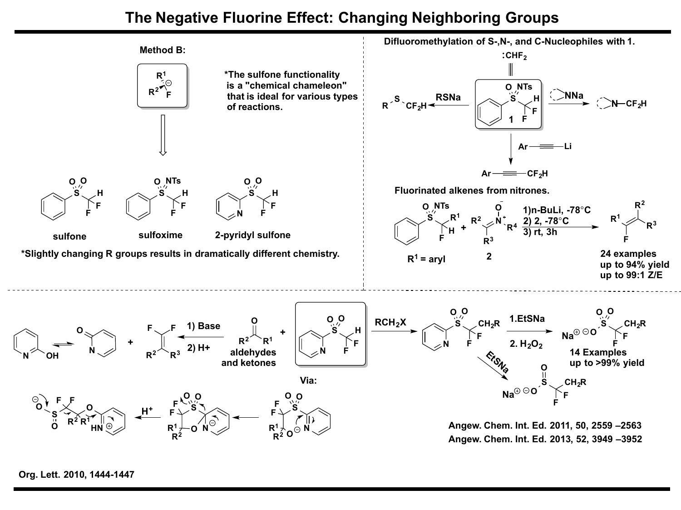## **The Negative Fluorine Effect: Changing Neighboring Groups**



**Org. Lett. 2010, 1444-1447**